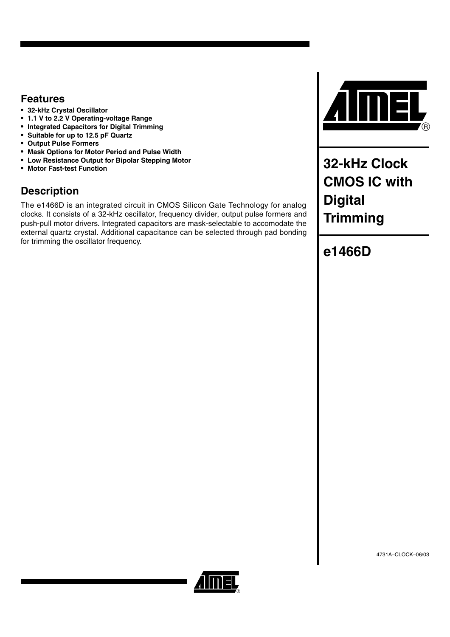### **Features**

- **32-kHz Crystal Oscillator**
- **1.1 V to 2.2 V Operating-voltage Range**
- **Integrated Capacitors for Digital Trimming**
- **Suitable for up to 12.5 pF Quartz**
- **Output Pulse Formers**
- **Mask Options for Motor Period and Pulse Width**
- **Low Resistance Output for Bipolar Stepping Motor**
- **Motor Fast-test Function**

## **Description**

The e1466D is an integrated circuit in CMOS Silicon Gate Technology for analog clocks. It consists of a 32-kHz oscillator, frequency divider, output pulse formers and push-pull motor drivers. Integrated capacitors are mask-selectable to accomodate the external quartz crystal. Additional capacitance can be selected through pad bonding for trimming the oscillator frequency.



**32-kHz Clock CMOS IC with Digital Trimming**

# **e1466D**

4731A–CLOCK–06/03

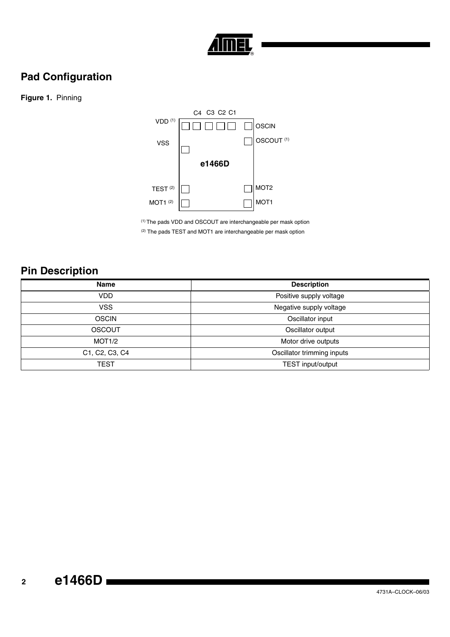

# **Pad Configuration**

### **Figure 1.** Pinning



(1) The pads VDD and OSCOUT are interchangeable per mask option (2) The pads TEST and MOT1 are interchangeable per mask option

# **Pin Description**

| <b>Description</b>         |
|----------------------------|
| Positive supply voltage    |
| Negative supply voltage    |
| Oscillator input           |
| Oscillator output          |
| Motor drive outputs        |
| Oscillator trimming inputs |
| TEST input/output          |
|                            |

# **<sup>2</sup> e1466D**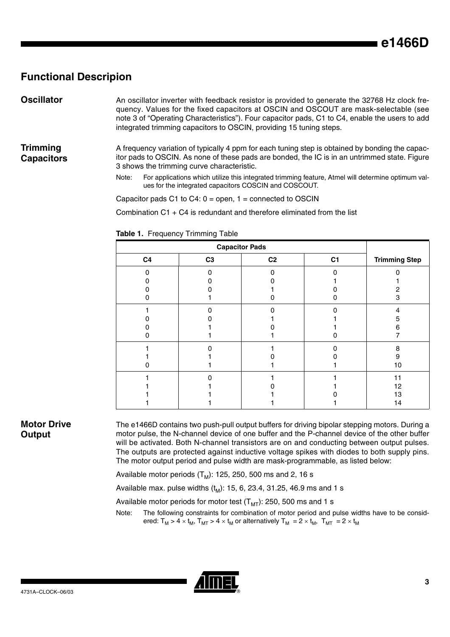### **Functional Descripion**

**Oscillator** An oscillator inverter with feedback resistor is provided to generate the 32768 Hz clock frequency. Values for the fixed capacitors at OSCIN and OSCOUT are mask-selectable (see note 3 of "Operating Characteristics"). Four capacitor pads, C1 to C4, enable the users to add integrated trimming capacitors to OSCIN, providing 15 tuning steps.

**Trimming Capacitors** A frequency variation of typically 4 ppm for each tuning step is obtained by bonding the capacitor pads to OSCIN. As none of these pads are bonded, the IC is in an untrimmed state. [Figure](#page-5-0) shows the trimming curve characteristic.

> Note: For applications which utilize this integrated trimming feature, Atmel will determine optimum values for the integrated capacitors COSCIN and COSCOUT.

Capacitor pads C1 to C4:  $0 =$  open,  $1 =$  connected to OSCIN

Combination  $C1 + C4$  is redundant and therefore eliminated from the list

|                |                | <b>Capacitor Pads</b> |                |                      |
|----------------|----------------|-----------------------|----------------|----------------------|
| C <sub>4</sub> | C <sub>3</sub> | C <sub>2</sub>        | C <sub>1</sub> | <b>Trimming Step</b> |
| O              |                | n                     | n              |                      |
|                |                |                       |                |                      |
|                |                |                       |                | 2                    |
|                |                |                       |                | 3                    |
|                |                |                       |                | 4                    |
|                |                |                       |                | 5                    |
|                |                |                       |                | 6                    |
|                |                |                       |                |                      |
|                |                |                       |                | 8                    |
|                |                |                       |                | 9                    |
|                |                |                       |                | 10                   |
|                |                |                       |                | 11                   |
|                |                |                       |                | 12                   |
|                |                |                       |                | 13                   |
|                |                |                       |                | 14                   |

**Table 1.** Frequency Trimming Table

### **Motor Drive Output**

The e1466D contains two push-pull output buffers for driving bipolar stepping motors. During a motor pulse, the N-channel device of one buffer and the P-channel device of the other buffer will be activated. Both N-channel transistors are on and conducting between output pulses. The outputs are protected against inductive voltage spikes with diodes to both supply pins. The motor output period and pulse width are mask-programmable, as listed below:

Available motor periods  $(T_M)$ : 125, 250, 500 ms and 2, 16 s

Available max. pulse widths  $(t_M)$ : 15, 6, 23.4, 31.25, 46.9 ms and 1 s

Available motor periods for motor test  $(T<sub>MT</sub>)$ : 250, 500 ms and 1 s

Note: The following constraints for combination of motor period and pulse widths have to be considered:  $T_M > 4 \times t_M$ ,  $T_{MT} > 4 \times t_M$  or alternatively  $T_M = 2 \times t_M$ ,  $T_{MT} = 2 \times t_M$ 

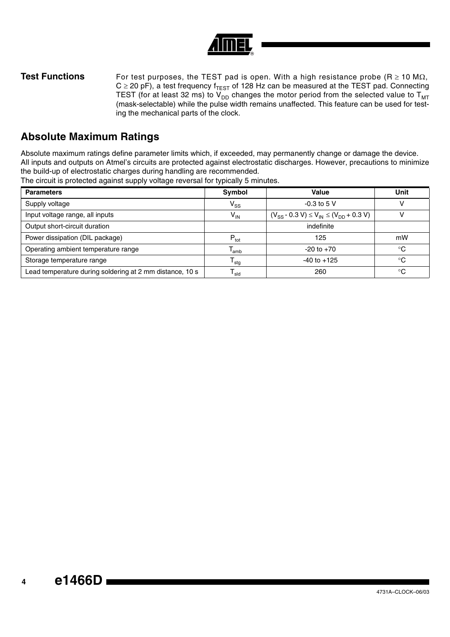

**Test Functions** For test purposes, the TEST pad is open. With a high resistance probe (R ≥ 10 MΩ,  $C \ge 20$  pF), a test frequency f<sub>TEST</sub> of 128 Hz can be measured at the TEST pad. Connecting TEST (for at least 32 ms) to  $V_{DD}$  changes the motor period from the selected value to  $T_{MT}$ (mask-selectable) while the pulse width remains unaffected. This feature can be used for testing the mechanical parts of the clock.

## **Absolute Maximum Ratings**

Absolute maximum ratings define parameter limits which, if exceeded, may permanently change or damage the device. All inputs and outputs on Atmel's circuits are protected against electrostatic discharges. However, precautions to minimize the build-up of electrostatic charges during handling are recommended.

The circuit is protected against supply voltage reversal for typically 5 minutes.

| <b>Parameters</b>                                        | Symbol           | Value                                              | Unit        |
|----------------------------------------------------------|------------------|----------------------------------------------------|-------------|
| Supply voltage                                           | $V_{SS}$         | $-0.3$ to 5 V                                      |             |
| Input voltage range, all inputs                          | $V_{IN}$         | $(V_{SS} - 0.3 V) \le V_{IN} \le (V_{DD} + 0.3 V)$ |             |
| Output short-circuit duration                            |                  | indefinite                                         |             |
| Power dissipation (DIL package)                          | $P_{\text{tot}}$ | 125                                                | mW          |
| Operating ambient temperature range                      | l <sub>amb</sub> | $-20$ to $+70$                                     | $^{\circ}C$ |
| Storage temperature range                                | <sup>I</sup> stq | $-40$ to $+125$                                    | $^{\circ}C$ |
| Lead temperature during soldering at 2 mm distance, 10 s | <sup>I</sup> sld | 260                                                | $^{\circ}C$ |

# **<sup>4</sup> e1466D**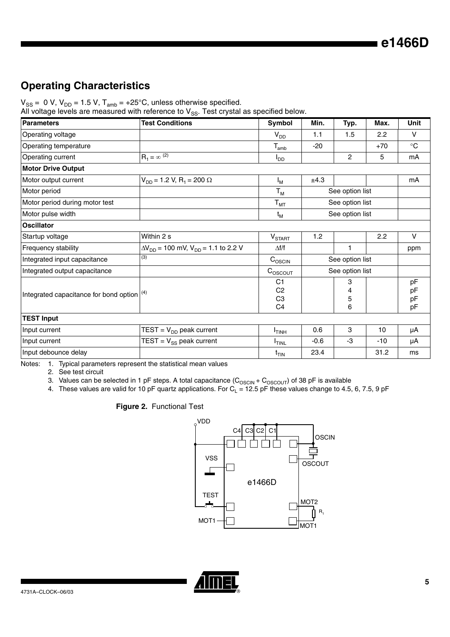# **Operating Characteristics**

 $\rm V_{SS}$  =  $\,$  0 V, V<sub>DD</sub> = 1.5 V, T<sub>amb</sub> = +25°C, unless otherwise specified.

All voltage levels are measured with reference to  $\mathrm{V_{SS}}$ . Test crystal as specified below.

| <b>Parameters</b>                            | <b>Test Conditions</b>                                   | Symbol                                                   | Min.   | Typ.             | Max.  | Unit                 |
|----------------------------------------------|----------------------------------------------------------|----------------------------------------------------------|--------|------------------|-------|----------------------|
| Operating voltage                            |                                                          | $V_{DD}$                                                 | 1.1    | 1.5              | 2.2   | $\vee$               |
| Operating temperature                        |                                                          | $\mathsf{T}_{\mathsf{amb}}$                              | $-20$  |                  | $+70$ | $\rm ^{\circ}C$      |
| Operating current                            | $R_1 = \infty$ <sup>(2)</sup>                            | $I_{DD}$                                                 |        | $\overline{c}$   | 5     | mA                   |
| <b>Motor Drive Output</b>                    |                                                          |                                                          |        |                  |       |                      |
| Motor output current                         | $V_{DD}$ = 1.2 V, R <sub>1</sub> = 200 $\Omega$          | $I_M$                                                    | ±4.3   |                  |       | mA                   |
| Motor period                                 |                                                          | $T_{M}$                                                  |        | See option list  |       |                      |
| Motor period during motor test               |                                                          | $T_{MT}$                                                 |        | See option list  |       |                      |
| Motor pulse width                            |                                                          | t <sub>M</sub>                                           |        | See option list  |       |                      |
| <b>Oscillator</b>                            |                                                          |                                                          |        |                  |       |                      |
| Startup voltage                              | Within 2 s                                               | $V_{\text{STAT}}$                                        | 1.2    |                  | 2.2   | $\vee$               |
| Frequency stability                          | $\Delta V_{DD}$ = 100 mV, V <sub>DD</sub> = 1.1 to 2.2 V | $\Delta f/f$                                             |        | 1                |       | ppm                  |
| Integrated input capacitance                 | (3)                                                      | $C_{\rm OSCIN}$                                          |        | See option list  |       |                      |
| Integrated output capacitance                |                                                          | $C_{\text{OSCOUT}}$                                      |        | See option list  |       |                      |
| Integrated capacitance for bond option $(4)$ |                                                          | C1<br>C <sub>2</sub><br>C <sub>3</sub><br>C <sub>4</sub> |        | 3<br>4<br>5<br>6 |       | pF<br>pF<br>pF<br>pF |
| <b>TEST Input</b>                            |                                                          |                                                          |        |                  |       |                      |
| Input current                                | $TEST = V_{DD}$ peak current                             | $I$ <sub>TINH</sub>                                      | 0.6    | 3                | 10    | μA                   |
| Input current                                | $TEST = V_{SS}$ peak current                             | <b>ITINL</b>                                             | $-0.6$ | -3               | $-10$ | μA                   |
| Input debounce delay                         |                                                          | $t_{\text{TIN}}$                                         | 23.4   |                  | 31.2  | ms                   |

Notes: 1. Typical parameters represent the statistical mean values

2. See test circuit

3. Values can be selected in 1 pF steps. A total capacitance (C $_{\rm OSCIN}$ + C $_{\rm OSCOUT}$ ) of 38 pF is available

4. These values are valid for 10 pF quartz applications. For  $C_{\sf L}$  = 12.5 pF these values change to 4.5, 6, 7.5, 9 pF

**Figure 2.** Functional Test



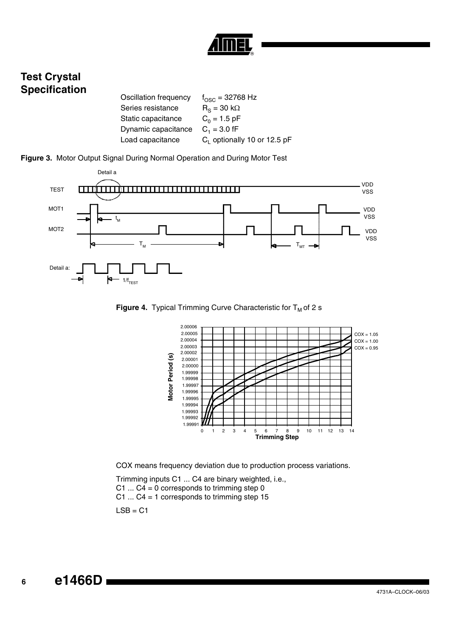

## **Test Crystal Specification**

| Oscillation frequency | $f_{\rm OSC} = 32768$ Hz                |
|-----------------------|-----------------------------------------|
| Series resistance     | $R_s = 30 \text{ k}\Omega$              |
| Static capacitance    | $C_0 = 1.5$ pF                          |
| Dynamic capacitance   | $C_1 = 3.0$ fF                          |
| Load capacitance      | C <sub>1</sub> optionally 10 or 12.5 pF |

<span id="page-5-0"></span>



**Figure 4.** Typical Trimming Curve Characteristic for T<sub>M</sub> of 2 s



COX means frequency deviation due to production process variations.

Trimming inputs C1 ... C4 are binary weighted, i.e., C1 ...  $C4 = 0$  corresponds to trimming step 0 C1 ... C4 = 1 corresponds to trimming step 15

 $LSB = C1$ 

**<sup>6</sup> e1466D**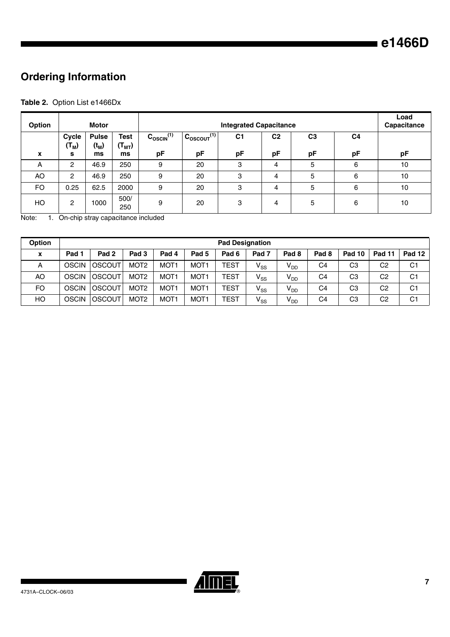# **Ordering Information**

### **Table 2.** Option List e1466Dx

| Option       |                       | Motor                         |                                         |                                | Load<br><b>Capacitance</b>        |                      |                      |                      |                      |    |
|--------------|-----------------------|-------------------------------|-----------------------------------------|--------------------------------|-----------------------------------|----------------------|----------------------|----------------------|----------------------|----|
| $\mathbf{x}$ | Cycle<br>$(T_M)$<br>s | <b>Pulse</b><br>$(t_M)$<br>ms | <b>Test</b><br>(T <sub>MT</sub> )<br>ms | $C_{\text{OSCIN}}^{(1)}$<br>pF | $C_{OSCOUT}$ <sup>(1)</sup><br>pF | C <sub>1</sub><br>pF | C <sub>2</sub><br>pF | C <sub>3</sub><br>рF | C <sub>4</sub><br>рF | pF |
| A            | 2                     | 46.9                          | 250                                     | 9                              | 20                                | 3                    | 4                    | 5                    | 6                    | 10 |
| AO           | 2                     | 46.9                          | 250                                     | 9                              | 20                                | 3                    | 4                    | 5                    | 6                    | 10 |
| FO           | 0.25                  | 62.5                          | 2000                                    | 9                              | 20                                | 3                    | 4                    | 5                    | 6                    | 10 |
| HO           | 2                     | 1000                          | 500/<br>250                             | 9                              | 20                                | 3                    | 4                    | 5                    | 6                    | 10 |

Note: 1. On-chip stray capacitance included

| <b>Option</b> | <b>Pad Designation</b> |                  |                  |                  |                  |                  |                  |                  |                  |        |                |                |
|---------------|------------------------|------------------|------------------|------------------|------------------|------------------|------------------|------------------|------------------|--------|----------------|----------------|
| X             | Pad 1                  | Pad <sub>2</sub> | Pad <sub>3</sub> | Pad 4            | Pad <sub>5</sub> | Pad <sub>6</sub> | Pad <sub>7</sub> | Pad <sub>8</sub> | Pad <sub>8</sub> | Pad 10 | <b>Pad 11</b>  | <b>Pad 12</b>  |
| А             | <b>OSCIN</b>           | loscout          | MOT <sub>2</sub> | MOT <sub>1</sub> | MOT <sub>1</sub> | <b>TEST</b>      | $V_{SS}$         | $V_{DD}$         | C4               | CЗ     | C <sub>2</sub> | C <sub>1</sub> |
| AO            | <b>OSCIN</b>           | <b>OSCOUT</b>    | MOT <sub>2</sub> | MOT <sub>1</sub> | MOT <sub>1</sub> | <b>TEST</b>      | $V_{SS}$         | $V_{DD}$         | C4               | CЗ     | C <sub>2</sub> | C <sub>1</sub> |
| FO            | <b>OSCIN</b>           | <b>OSCOUT</b>    | MOT <sub>2</sub> | MOT <sub>1</sub> | MOT <sub>1</sub> | <b>TEST</b>      | $V_{SS}$         | V <sub>DD</sub>  | C4               | CЗ     | C <sub>2</sub> | C <sub>1</sub> |
| HO            | <b>OSCIN</b>           | loscout          | MOT <sub>2</sub> | MOT <sub>1</sub> | MOT <sub>1</sub> | <b>TEST</b>      | $V_{SS}$         | $V_{DD}$         | C4               | CЗ     | C <sub>2</sub> | C <sub>1</sub> |